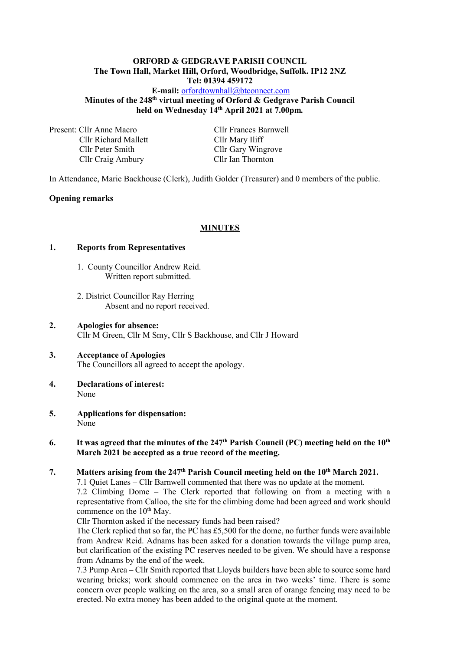### **ORFORD & GEDGRAVE PARISH COUNCIL The Town Hall, Market Hill, Orford, Woodbridge, Suffolk. IP12 2NZ Tel: 01394 459172 E-mail:** [orfordtownhall@btconnect.com](mailto:orfordtownhall@btconnect.com) **Minutes of the 248 th virtual meeting of Orford & Gedgrave Parish Council**

**held on Wednesday 14th April 2021 at 7.00pm***.*

Present: Cllr Anne Macro Cllr Frances Barnwell Cllr Richard Mallett Cllr Mary Iliff Cllr Peter Smith<br>
Cllr Gary Wingrove<br>
Cllr Gary Wingrove<br>
Cllr Ian Thornton Cllr Craig Ambury

In Attendance, Marie Backhouse (Clerk), Judith Golder (Treasurer) and 0 members of the public.

### **Opening remarks**

#### **MINUTES**

#### **1. Reports from Representatives**

- 1. County Councillor Andrew Reid. Written report submitted.
- 2. District Councillor Ray Herring Absent and no report received.
- **2. Apologies for absence:** Cllr M Green, Cllr M Smy, Cllr S Backhouse, and Cllr J Howard
- **3. Acceptance of Apologies** The Councillors all agreed to accept the apology.
- **4. Declarations of interest:** None
- **5. Applications for dispensation:** None

### **6. It was agreed that the minutes of the 247 th Parish Council (PC) meeting held on the 10th March 2021 be accepted as a true record of the meeting.**

**7. Matters arising from the 247th Parish Council meeting held on the 10th March 2021.**

7.1 Quiet Lanes – Cllr Barnwell commented that there was no update at the moment. 7.2 Climbing Dome – The Clerk reported that following on from a meeting with a representative from Calloo, the site for the climbing dome had been agreed and work should commence on the  $10^{th}$  May.

Cllr Thornton asked if the necessary funds had been raised?

The Clerk replied that so far, the PC has £5,500 for the dome, no further funds were available from Andrew Reid. Adnams has been asked for a donation towards the village pump area, but clarification of the existing PC reserves needed to be given. We should have a response from Adnams by the end of the week.

7.3 Pump Area – Cllr Smith reported that Lloyds builders have been able to source some hard wearing bricks; work should commence on the area in two weeks' time. There is some concern over people walking on the area, so a small area of orange fencing may need to be erected. No extra money has been added to the original quote at the moment.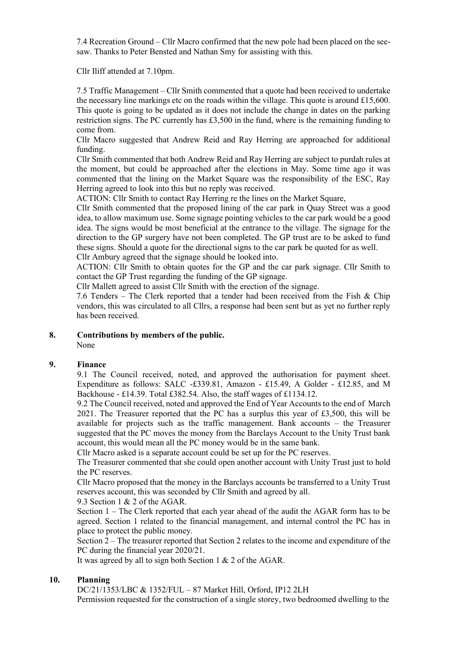7.4 Recreation Ground – Cllr Macro confirmed that the new pole had been placed on the seesaw. Thanks to Peter Bensted and Nathan Smy for assisting with this.

Cllr Iliff attended at 7.10pm.

7.5 Traffic Management – Cllr Smith commented that a quote had been received to undertake the necessary line markings etc on the roads within the village. This quote is around  $£15,600$ . This quote is going to be updated as it does not include the change in dates on the parking restriction signs. The PC currently has £3,500 in the fund, where is the remaining funding to come from.

Cllr Macro suggested that Andrew Reid and Ray Herring are approached for additional funding.

Cllr Smith commented that both Andrew Reid and Ray Herring are subject to purdah rules at the moment, but could be approached after the elections in May. Some time ago it was commented that the lining on the Market Square was the responsibility of the ESC, Ray Herring agreed to look into this but no reply was received.

ACTION: Cllr Smith to contact Ray Herring re the lines on the Market Square,

Cllr Smith commented that the proposed lining of the car park in Quay Street was a good idea, to allow maximum use. Some signage pointing vehicles to the car park would be a good idea. The signs would be most beneficial at the entrance to the village. The signage for the direction to the GP surgery have not been completed. The GP trust are to be asked to fund these signs. Should a quote for the directional signs to the car park be quoted for as well. Cllr Ambury agreed that the signage should be looked into.

ACTION: Cllr Smith to obtain quotes for the GP and the car park signage. Cllr Smith to contact the GP Trust regarding the funding of the GP signage.

Cllr Mallett agreed to assist Cllr Smith with the erection of the signage.

7.6 Tenders – The Clerk reported that a tender had been received from the Fish & Chip vendors, this was circulated to all Cllrs, a response had been sent but as yet no further reply has been received.

### **8. Contributions by members of the public.**

None

# **9. Finance**

9.1 The Council received, noted, and approved the authorisation for payment sheet. Expenditure as follows: SALC -£339.81, Amazon - £15.49, A Golder - £12.85, and M Backhouse - £14.39. Total £382.54. Also, the staff wages of £1134.12.

9.2 The Council received, noted and approved the End of Year Accounts to the end of March 2021. The Treasurer reported that the PC has a surplus this year of £3,500, this will be available for projects such as the traffic management. Bank accounts – the Treasurer suggested that the PC moves the money from the Barclays Account to the Unity Trust bank account, this would mean all the PC money would be in the same bank.

Cllr Macro asked is a separate account could be set up for the PC reserves.

The Treasurer commented that she could open another account with Unity Trust just to hold the PC reserves.

Cllr Macro proposed that the money in the Barclays accounts be transferred to a Unity Trust reserves account, this was seconded by Cllr Smith and agreed by all.

9.3 Section 1 & 2 of the AGAR.

Section 1 – The Clerk reported that each year ahead of the audit the AGAR form has to be agreed. Section 1 related to the financial management, and internal control the PC has in place to protect the public money.

Section  $2 -$  The treasurer reported that Section 2 relates to the income and expenditure of the PC during the financial year 2020/21.

It was agreed by all to sign both Section 1 & 2 of the AGAR.

## **10. Planning**

DC/21/1353/LBC & 1352/FUL – 87 Market Hill, Orford, IP12 2LH Permission requested for the construction of a single storey, two bedroomed dwelling to the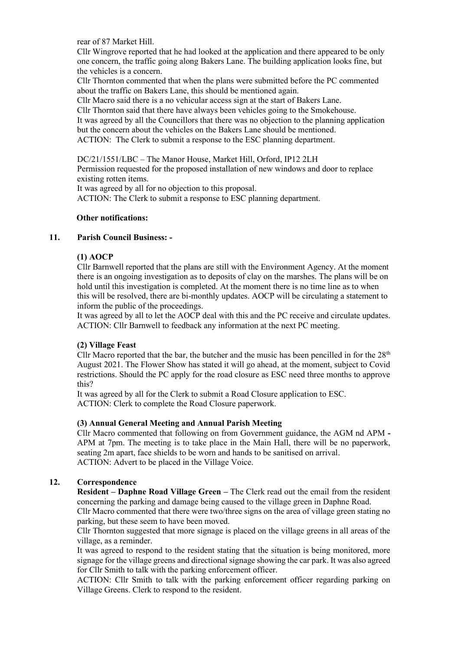rear of 87 Market Hill.

Cllr Wingrove reported that he had looked at the application and there appeared to be only one concern, the traffic going along Bakers Lane. The building application looks fine, but the vehicles is a concern.

Cllr Thornton commented that when the plans were submitted before the PC commented about the traffic on Bakers Lane, this should be mentioned again.

Cllr Macro said there is a no vehicular access sign at the start of Bakers Lane.

Cllr Thornton said that there have always been vehicles going to the Smokehouse.

It was agreed by all the Councillors that there was no objection to the planning application but the concern about the vehicles on the Bakers Lane should be mentioned. ACTION: The Clerk to submit a response to the ESC planning department.

DC/21/1551/LBC – The Manor House, Market Hill, Orford, IP12 2LH

Permission requested for the proposed installation of new windows and door to replace existing rotten items.

It was agreed by all for no objection to this proposal.

ACTION: The Clerk to submit a response to ESC planning department.

### **Other notifications:**

### **11. Parish Council Business: -**

### **(1) AOCP**

Cllr Barnwell reported that the plans are still with the Environment Agency. At the moment there is an ongoing investigation as to deposits of clay on the marshes. The plans will be on hold until this investigation is completed. At the moment there is no time line as to when this will be resolved, there are bi-monthly updates. AOCP will be circulating a statement to inform the public of the proceedings.

It was agreed by all to let the AOCP deal with this and the PC receive and circulate updates. ACTION: Cllr Barnwell to feedback any information at the next PC meeting.

### **(2) Village Feast**

Cllr Macro reported that the bar, the butcher and the music has been pencilled in for the  $28<sup>th</sup>$ August 2021. The Flower Show has stated it will go ahead, at the moment, subject to Covid restrictions. Should the PC apply for the road closure as ESC need three months to approve this?

It was agreed by all for the Clerk to submit a Road Closure application to ESC. ACTION: Clerk to complete the Road Closure paperwork.

## **(3) Annual General Meeting and Annual Parish Meeting**

Cllr Macro commented that following on from Government guidance, the AGM nd APM **-** APM at 7pm. The meeting is to take place in the Main Hall, there will be no paperwork, seating 2m apart, face shields to be worn and hands to be sanitised on arrival. ACTION: Advert to be placed in the Village Voice.

### **12. Correspondence**

**Resident – Daphne Road Village Green –** The Clerk read out the email from the resident concerning the parking and damage being caused to the village green in Daphne Road.

Cllr Macro commented that there were two/three signs on the area of village green stating no parking, but these seem to have been moved.

Cllr Thornton suggested that more signage is placed on the village greens in all areas of the village, as a reminder.

It was agreed to respond to the resident stating that the situation is being monitored, more signage for the village greens and directional signage showing the car park. It was also agreed for Cllr Smith to talk with the parking enforcement officer.

ACTION: Cllr Smith to talk with the parking enforcement officer regarding parking on Village Greens. Clerk to respond to the resident.